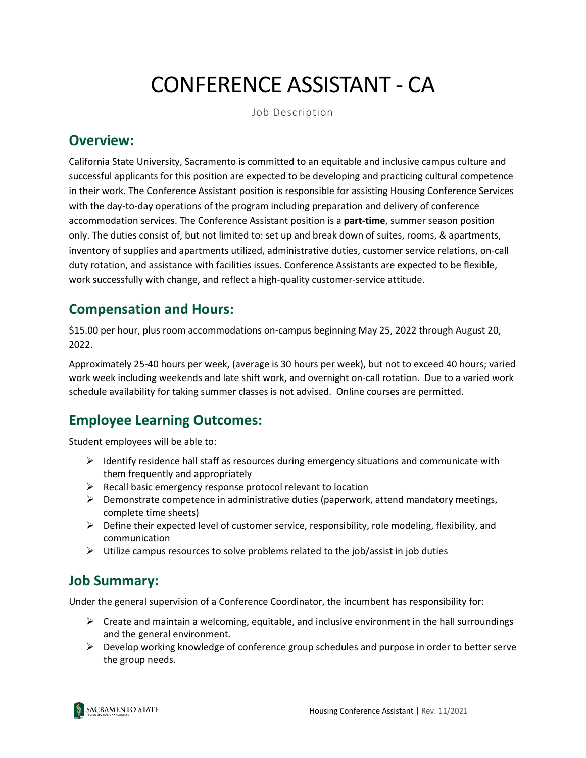# CONFERENCE ASSISTANT - CA

Job Description

#### **Overview:**

California State University, Sacramento is committed to an equitable and inclusive campus culture and successful applicants for this position are expected to be developing and practicing cultural competence in their work. The Conference Assistant position is responsible for assisting Housing Conference Services with the day-to-day operations of the program including preparation and delivery of conference accommodation services. The Conference Assistant position is a **part-time**, summer season position only. The duties consist of, but not limited to: set up and break down of suites, rooms, & apartments, inventory of supplies and apartments utilized, administrative duties, customer service relations, on-call duty rotation, and assistance with facilities issues. Conference Assistants are expected to be flexible, work successfully with change, and reflect a high-quality customer-service attitude.

### **Compensation and Hours:**

\$15.00 per hour, plus room accommodations on-campus beginning May 25, 2022 through August 20, 2022.

Approximately 25-40 hours per week, (average is 30 hours per week), but not to exceed 40 hours; varied work week including weekends and late shift work, and overnight on-call rotation. Due to a varied work schedule availability for taking summer classes is not advised. Online courses are permitted.

## **Employee Learning Outcomes:**

Student employees will be able to:

- $\triangleright$  Identify residence hall staff as resources during emergency situations and communicate with them frequently and appropriately
- $\triangleright$  Recall basic emergency response protocol relevant to location
- $\triangleright$  Demonstrate competence in administrative duties (paperwork, attend mandatory meetings, complete time sheets)
- $\triangleright$  Define their expected level of customer service, responsibility, role modeling, flexibility, and communication
- $\triangleright$  Utilize campus resources to solve problems related to the job/assist in job duties

### **Job Summary:**

Under the general supervision of a Conference Coordinator, the incumbent has responsibility for:

- $\triangleright$  Create and maintain a welcoming, equitable, and inclusive environment in the hall surroundings and the general environment.
- $\triangleright$  Develop working knowledge of conference group schedules and purpose in order to better serve the group needs.

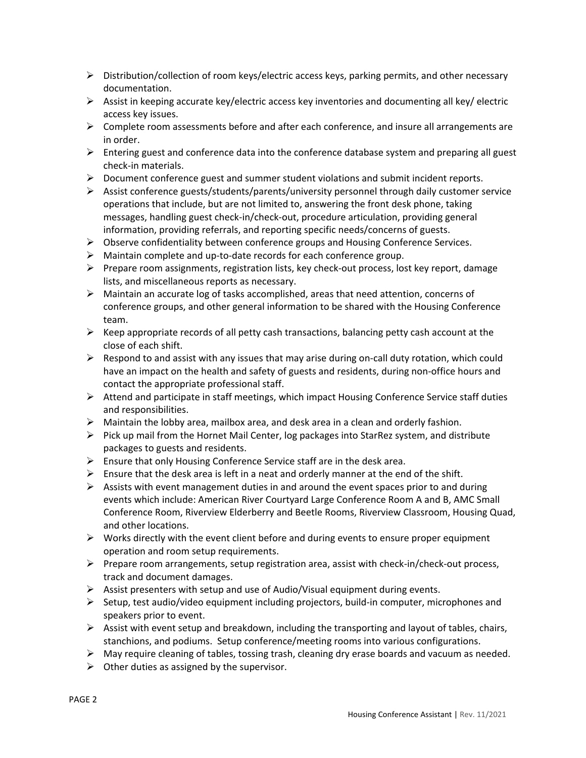- $\triangleright$  Distribution/collection of room keys/electric access keys, parking permits, and other necessary documentation.
- $\triangleright$  Assist in keeping accurate key/electric access key inventories and documenting all key/ electric access key issues.
- $\triangleright$  Complete room assessments before and after each conference, and insure all arrangements are in order.
- $\triangleright$  Entering guest and conference data into the conference database system and preparing all guest check-in materials.
- $\triangleright$  Document conference guest and summer student violations and submit incident reports.
- $\triangleright$  Assist conference guests/students/parents/university personnel through daily customer service operations that include, but are not limited to, answering the front desk phone, taking messages, handling guest check-in/check-out, procedure articulation, providing general information, providing referrals, and reporting specific needs/concerns of guests.
- $\triangleright$  Observe confidentiality between conference groups and Housing Conference Services.
- $\triangleright$  Maintain complete and up-to-date records for each conference group.
- $\triangleright$  Prepare room assignments, registration lists, key check-out process, lost key report, damage lists, and miscellaneous reports as necessary.
- $\triangleright$  Maintain an accurate log of tasks accomplished, areas that need attention, concerns of conference groups, and other general information to be shared with the Housing Conference team.
- $\triangleright$  Keep appropriate records of all petty cash transactions, balancing petty cash account at the close of each shift.
- $\triangleright$  Respond to and assist with any issues that may arise during on-call duty rotation, which could have an impact on the health and safety of guests and residents, during non-office hours and contact the appropriate professional staff.
- $\triangleright$  Attend and participate in staff meetings, which impact Housing Conference Service staff duties and responsibilities.
- $\triangleright$  Maintain the lobby area, mailbox area, and desk area in a clean and orderly fashion.
- $\triangleright$  Pick up mail from the Hornet Mail Center, log packages into StarRez system, and distribute packages to guests and residents.
- $\triangleright$  Ensure that only Housing Conference Service staff are in the desk area.
- Ensure that the desk area is left in a neat and orderly manner at the end of the shift.
- $\triangleright$  Assists with event management duties in and around the event spaces prior to and during events which include: American River Courtyard Large Conference Room A and B, AMC Small Conference Room, Riverview Elderberry and Beetle Rooms, Riverview Classroom, Housing Quad, and other locations.
- $\triangleright$  Works directly with the event client before and during events to ensure proper equipment operation and room setup requirements.
- $\triangleright$  Prepare room arrangements, setup registration area, assist with check-in/check-out process, track and document damages.
- Assist presenters with setup and use of Audio/Visual equipment during events.
- $\triangleright$  Setup, test audio/video equipment including projectors, build-in computer, microphones and speakers prior to event.
- $\triangleright$  Assist with event setup and breakdown, including the transporting and layout of tables, chairs, stanchions, and podiums. Setup conference/meeting rooms into various configurations.
- $\triangleright$  May require cleaning of tables, tossing trash, cleaning dry erase boards and vacuum as needed.
- $\triangleright$  Other duties as assigned by the supervisor.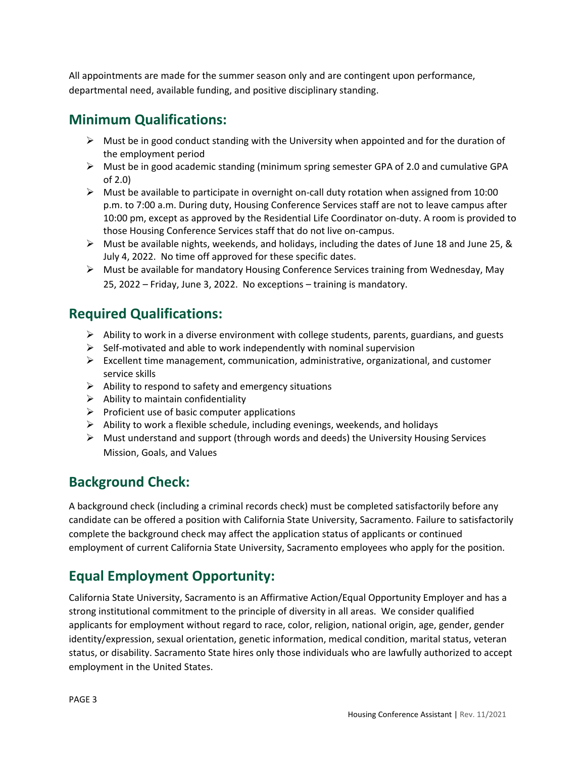All appointments are made for the summer season only and are contingent upon performance, departmental need, available funding, and positive disciplinary standing.

## **Minimum Qualifications:**

- $\triangleright$  Must be in good conduct standing with the University when appointed and for the duration of the employment period
- $\triangleright$  Must be in good academic standing (minimum spring semester GPA of 2.0 and cumulative GPA of 2.0)
- $\triangleright$  Must be available to participate in overnight on-call duty rotation when assigned from 10:00 p.m. to 7:00 a.m. During duty, Housing Conference Services staff are not to leave campus after 10:00 pm, except as approved by the Residential Life Coordinator on-duty. A room is provided to those Housing Conference Services staff that do not live on-campus.
- $\triangleright$  Must be available nights, weekends, and holidays, including the dates of June 18 and June 25, & July 4, 2022. No time off approved for these specific dates.
- $\triangleright$  Must be available for mandatory Housing Conference Services training from Wednesday, May 25, 2022 – Friday, June 3, 2022. No exceptions – training is mandatory.

## **Required Qualifications:**

- $\triangleright$  Ability to work in a diverse environment with college students, parents, guardians, and guests
- $\triangleright$  Self-motivated and able to work independently with nominal supervision
- $\triangleright$  Excellent time management, communication, administrative, organizational, and customer service skills
- $\triangleright$  Ability to respond to safety and emergency situations
- $\triangleright$  Ability to maintain confidentiality
- $\triangleright$  Proficient use of basic computer applications
- $\triangleright$  Ability to work a flexible schedule, including evenings, weekends, and holidays
- $\triangleright$  Must understand and support (through words and deeds) the University Housing Services Mission, Goals, and Values

### **Background Check:**

A background check (including a criminal records check) must be completed satisfactorily before any candidate can be offered a position with California State University, Sacramento. Failure to satisfactorily complete the background check may affect the application status of applicants or continued employment of current California State University, Sacramento employees who apply for the position.

## **Equal Employment Opportunity:**

California State University, Sacramento is an Affirmative Action/Equal Opportunity Employer and has a strong institutional commitment to the principle of diversity in all areas. We consider qualified applicants for employment without regard to race, color, religion, national origin, age, gender, gender identity/expression, sexual orientation, genetic information, medical condition, marital status, veteran status, or disability. Sacramento State hires only those individuals who are lawfully authorized to accept employment in the United States.